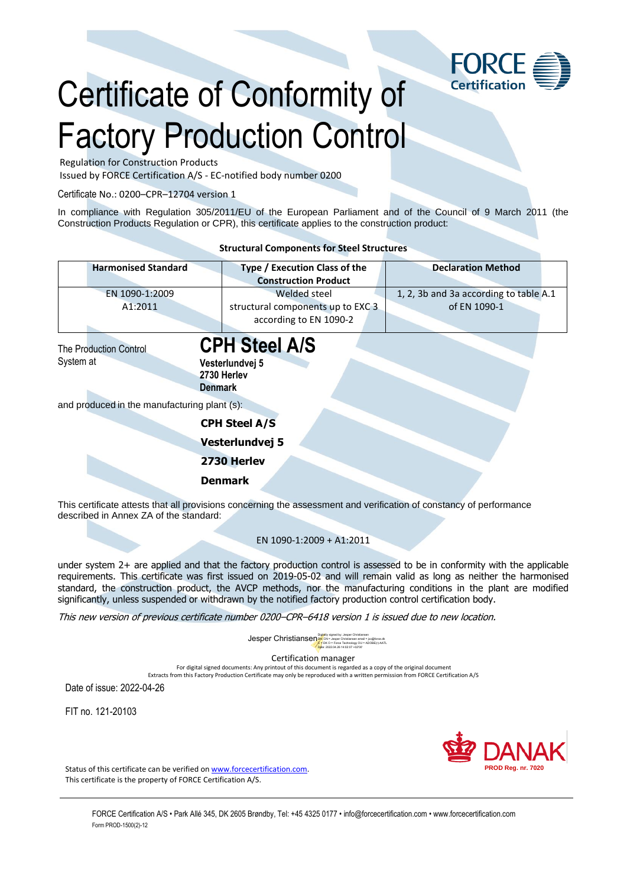

## Certificate of Conformity of Factory Production Control

Regulation for Construction Products

Issued by FORCE Certification A/S - EC-notified body number 0200

Certificate No.: 0200–CPR–12704 version 1

In compliance with Regulation 305/2011/EU of the European Parliament and of the Council of 9 March 2011 (the Construction Products Regulation or CPR), this certificate applies to the construction product:

|                                                                                                              | <b>Structural Components for Steel Structures</b>                           |                                                        |
|--------------------------------------------------------------------------------------------------------------|-----------------------------------------------------------------------------|--------------------------------------------------------|
| <b>Harmonised Standard</b>                                                                                   | Type / Execution Class of the<br><b>Construction Product</b>                | <b>Declaration Method</b>                              |
| EN 1090-1:2009<br>A1:2011                                                                                    | Welded steel<br>structural components up to EXC 3<br>according to EN 1090-2 | 1, 2, 3b and 3a according to table A.1<br>of EN 1090-1 |
| <b>The Production Control</b><br>System at<br><b>Denmark</b><br>and produced in the manufacturing plant (s): | <b>CPH Steel A/S</b><br>Vesterlundvej 5<br>2730 Herlev                      |                                                        |
|                                                                                                              | <b>CPH Steel A/S</b><br>Vesterlundvej 5                                     |                                                        |
|                                                                                                              | 2730 Herlev<br><b>Denmark</b>                                               |                                                        |

This certificate attests that all provisions concerning the assessment and verification of constancy of performance described in Annex ZA of the standard:

## EN 1090-1:2009 + A1:2011

under system 2+ are applied and that the factory production control is assessed to be in conformity with the applicable requirements. This certificate was first issued on 2019-05-02 and will remain valid as long as neither the harmonised standard, the construction product, the AVCP methods, nor the manufacturing conditions in the plant are modified significantly, unless suspended or withdrawn by the notified factory production control certification body.

This new version of previous certificate number 0200–CPR–6418 version 1 is issued due to new location.

**Jesper Christiansen**<br>Digital Schristiansen email = jxc@force.dk<br>Digital Schristiansen email = jxc@force.dk The Schristiansen Clin = AnogE(t)-AAT  $C = DK$  O = Force Technology OU = ADOBE(r)-AATL

Date: 2022.04.26 14:02:07 +02'00'

Certification manager

For digital signed documents: Any printout of this document is regarded as a copy of the original document

Extracts from this Factory Production Certificate may only be reproduced with a written permission from FORCE Certification A/S

Date of issue: 2022-04-26

FIT no. 121-20103



Status of this certificate can be verified on [www.forcecertification.com.](http://www.forcecertification.com/) This certificate is the property of FORCE Certification A/S.

> FORCE Certification A/S • Park Allé 345, DK 2605 Brøndby, Tel: +45 4325 0177 • info@forcecertification.com • www.forcecertification.com Form PROD-1500(2)-12